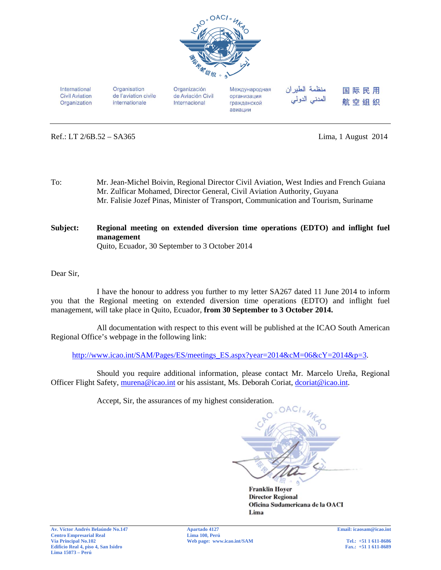

International **Civil Aviation** Organization Organisation de l'aviation civile internationale

Organización de Aviación Civil Internacional

Международная организация гражданской авиации

منظمة الطبران المدني الدولي 国际民用 航空组织

Ref.: LT 2/6B.52 – SA365 Lima, 1 August 2014

- To: Mr. Jean-Michel Boivin, Regional Director Civil Aviation, West Indies and French Guiana Mr. Zulficar Mohamed, Director General, Civil Aviation Authority, Guyana Mr. Falisie Jozef Pinas, Minister of Transport, Communication and Tourism, Suriname
- **Subject: Regional meeting on extended diversion time operations (EDTO) and inflight fuel management**  Quito, Ecuador, 30 September to 3 October 2014

Dear Sir,

 I have the honour to address you further to my letter SA267 dated 11 June 2014 to inform you that the Regional meeting on extended diversion time operations (EDTO) and inflight fuel management, will take place in Quito, Ecuador, **from 30 September to 3 October 2014.** 

 All documentation with respect to this event will be published at the ICAO South American Regional Office's webpage in the following link:

http://www.icao.int/SAM/Pages/ES/meetings\_ES.aspx?year=2014&cM=06&cY=2014&p=3.

 Should you require additional information, please contact Mr. Marcelo Ureña, Regional Officer Flight Safety, murena@icao.int or his assistant, Ms. Deborah Coriat, dcoriat@icao.int.

Accept, Sir, the assurances of my highest consideration.



**Franklin Hoyer Director Regional** Oficina Sudamericana de la OACI Lima